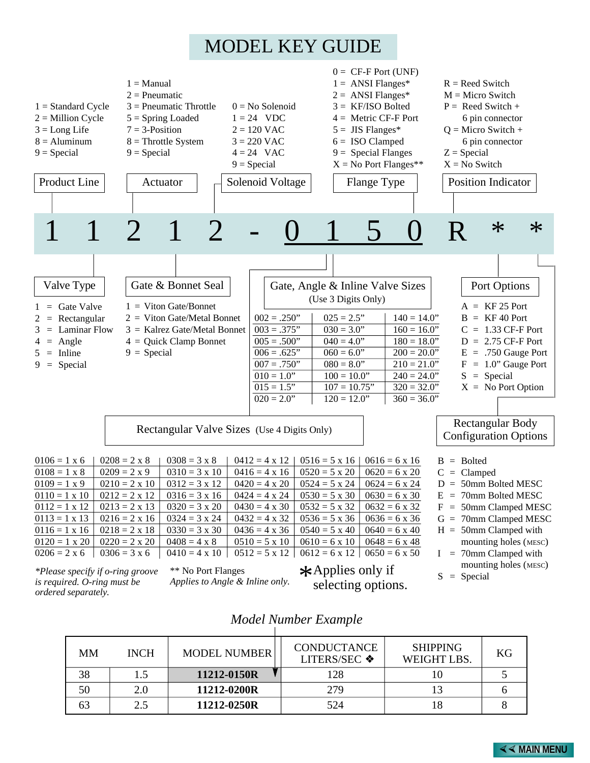# MODEL KEY GUIDE



|    |             | <b>MODEL NUMBER</b> |                                    |                                       |    |
|----|-------------|---------------------|------------------------------------|---------------------------------------|----|
| MМ | <b>INCH</b> |                     | <b>CONDUCTANCE</b><br>LITERS/SEC ❖ | <b>SHIPPING</b><br><b>WEIGHT LBS.</b> | KG |
| 38 |             | 11212-0150R         | 128                                |                                       |    |
| 50 | 2.0         | 11212-0200R         | 279                                |                                       |    |
| 63 | 2.5         | 11212-0250R         | 524                                |                                       |    |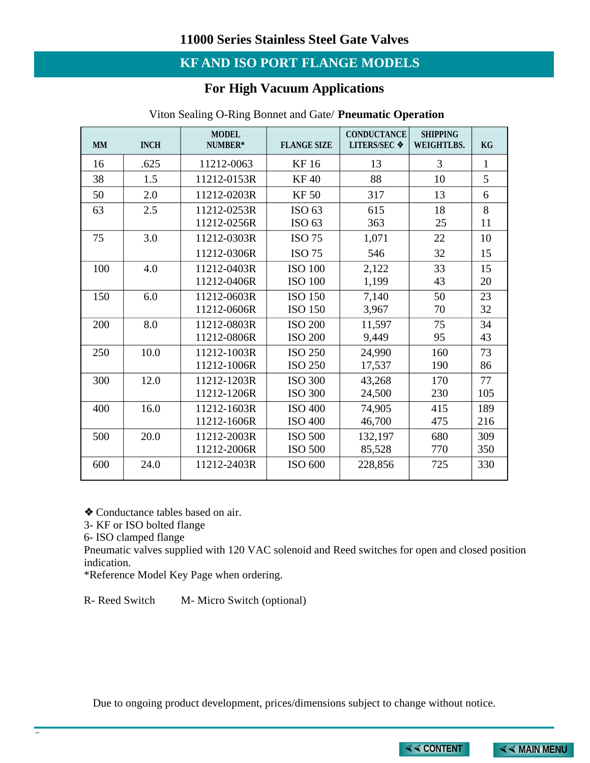## **KF AND ISO PORT FLANGE MODELS**

### **For High Vacuum Applications**

| <b>MM</b> | <b>INCH</b> | <b>MODEL</b><br>NUMBER*    | <b>FLANGE SIZE</b>               | <b>CONDUCTANCE</b><br><b>LITERS/SEC ❖</b> | <b>SHIPPING</b><br><b>WEIGHTLBS.</b> | KG         |
|-----------|-------------|----------------------------|----------------------------------|-------------------------------------------|--------------------------------------|------------|
| 16        | .625        | 11212-0063                 | KF 16                            | 13                                        | 3                                    | 1          |
| 38        | 1.5         | 11212-0153R                | <b>KF40</b>                      | 88                                        | 10                                   | 5          |
| 50        | 2.0         | 11212-0203R                | <b>KF50</b>                      | 317                                       | 13                                   | 6          |
| 63        | 2.5         | 11212-0253R<br>11212-0256R | ISO 63<br>ISO <sub>63</sub>      | 615<br>363                                | 18<br>25                             | 8<br>11    |
| 75        | 3.0         | 11212-0303R                | <b>ISO 75</b>                    | 1,071                                     | 22                                   | 10         |
|           |             | 11212-0306R                | <b>ISO 75</b>                    | 546                                       | 32                                   | 15         |
| 100       | 4.0         | 11212-0403R<br>11212-0406R | <b>ISO 100</b><br><b>ISO 100</b> | 2,122<br>1,199                            | 33<br>43                             | 15<br>20   |
| 150       | 6.0         | 11212-0603R<br>11212-0606R | <b>ISO 150</b><br><b>ISO 150</b> | 7,140<br>3,967                            | 50<br>70                             | 23<br>32   |
| 200       | 8.0         | 11212-0803R<br>11212-0806R | <b>ISO 200</b><br><b>ISO 200</b> | 11,597<br>9,449                           | 75<br>95                             | 34<br>43   |
| 250       | 10.0        | 11212-1003R<br>11212-1006R | <b>ISO 250</b><br><b>ISO 250</b> | 24,990<br>17,537                          | 160<br>190                           | 73<br>86   |
| 300       | 12.0        | 11212-1203R<br>11212-1206R | <b>ISO 300</b><br><b>ISO 300</b> | 43,268<br>24,500                          | 170<br>230                           | 77<br>105  |
| 400       | 16.0        | 11212-1603R<br>11212-1606R | <b>ISO 400</b><br><b>ISO 400</b> | 74,905<br>46,700                          | 415<br>475                           | 189<br>216 |
| 500       | 20.0        | 11212-2003R<br>11212-2006R | <b>ISO 500</b><br><b>ISO 500</b> | 132,197<br>85,528                         | 680<br>770                           | 309<br>350 |
| 600       | 24.0        | 11212-2403R                | ISO 600                          | 228,856                                   | 725                                  | 330        |

#### Viton Sealing O-Ring Bonnet and Gate/ **Pneumatic Operation**

❖ Conductance tables based on air.

3- KF or ISO bolted flange

6- ISO clamped flange

6

Pneumatic valves supplied with 120 VAC solenoid and Reed switches for open and closed position indication.

\*Reference Model Key Page when ordering.

R- Reed Switch M- Micro Switch (optional)

Due to ongoing product development, prices/dimensions subject to chan[ge without notice.](#page--1-0)

**×× CONTENT ×× MAIN MENU**